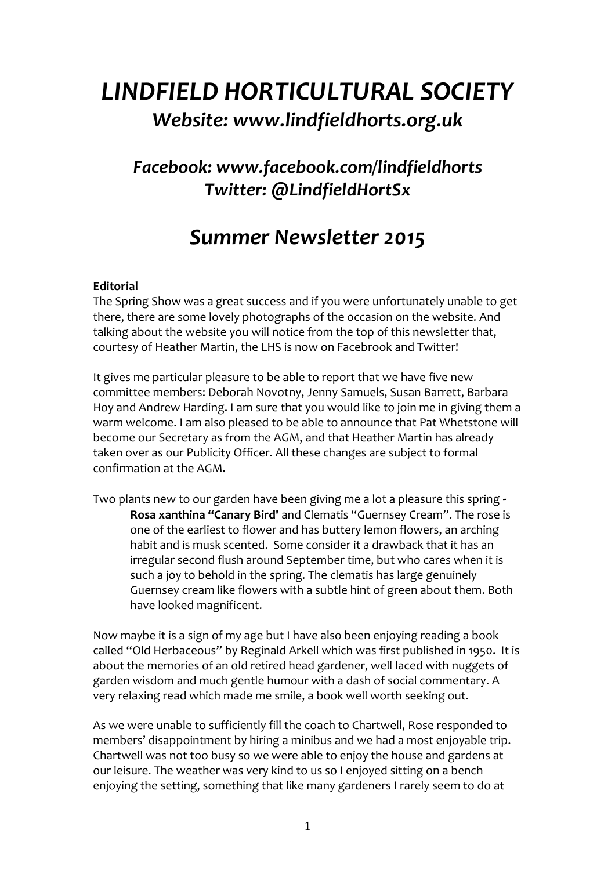# *LINDFIELD HORTICULTURAL SOCIETY Website: www.lindfieldhorts.org.uk*

## *Facebook: www.facebook.com/lindfieldhorts Twitter: @LindfieldHortSx*

## *Summer Newsletter 2015*

## **Editorial**

The Spring Show was a great success and if you were unfortunately unable to get there, there are some lovely photographs of the occasion on the website. And talking about the website you will notice from the top of this newsletter that, courtesy of Heather Martin, the LHS is now on Facebrook and Twitter!

It gives me particular pleasure to be able to report that we have five new committee members: Deborah Novotny, Jenny Samuels, Susan Barrett, Barbara Hoy and Andrew Harding. I am sure that you would like to join me in giving them a warm welcome. I am also pleased to be able to announce that Pat Whetstone will become our Secretary as from the AGM, and that Heather Martin has already taken over as our Publicity Officer. All these changes are subject to formal confirmation at the AGM**.**

Two plants new to our garden have been giving me a lot a pleasure this spring **- Rosa xanthina "Canary Bird'** and Clematis "Guernsey Cream". The rose is one of the earliest to flower and has buttery lemon flowers, an arching habit and is musk scented. Some consider it a drawback that it has an irregular second flush around September time, but who cares when it is such a joy to behold in the spring. The clematis has large genuinely Guernsey cream like flowers with a subtle hint of green about them. Both have looked magnificent.

Now maybe it is a sign of my age but I have also been enjoying reading a book called "Old Herbaceous" by Reginald Arkell which was first published in 1950. It is about the memories of an old retired head gardener, well laced with nuggets of garden wisdom and much gentle humour with a dash of social commentary. A very relaxing read which made me smile, a book well worth seeking out.

As we were unable to sufficiently fill the coach to Chartwell, Rose responded to members' disappointment by hiring a minibus and we had a most enjoyable trip. Chartwell was not too busy so we were able to enjoy the house and gardens at our leisure. The weather was very kind to us so I enjoyed sitting on a bench enjoying the setting, something that like many gardeners I rarely seem to do at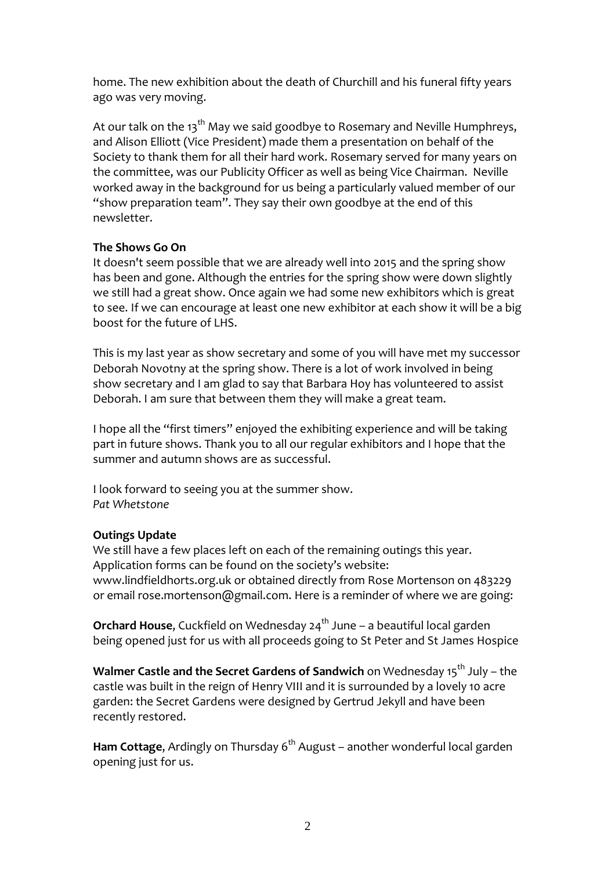home. The new exhibition about the death of Churchill and his funeral fifty years ago was very moving.

At our talk on the  $13<sup>th</sup>$  May we said goodbye to Rosemary and Neville Humphreys, and Alison Elliott (Vice President) made them a presentation on behalf of the Society to thank them for all their hard work. Rosemary served for many years on the committee, was our Publicity Officer as well as being Vice Chairman. Neville worked away in the background for us being a particularly valued member of our "show preparation team". They say their own goodbye at the end of this newsletter.

## **The Shows Go On**

It doesn't seem possible that we are already well into 2015 and the spring show has been and gone. Although the entries for the spring show were down slightly we still had a great show. Once again we had some new exhibitors which is great to see. If we can encourage at least one new exhibitor at each show it will be a big boost for the future of LHS.

This is my last year as show secretary and some of you will have met my successor Deborah Novotny at the spring show. There is a lot of work involved in being show secretary and I am glad to say that Barbara Hoy has volunteered to assist Deborah. I am sure that between them they will make a great team.

I hope all the "first timers" enjoyed the exhibiting experience and will be taking part in future shows. Thank you to all our regular exhibitors and I hope that the summer and autumn shows are as successful.

I look forward to seeing you at the summer show. *Pat Whetstone*

## **Outings Update**

We still have a few places left on each of the remaining outings this year. Application forms can be found on the society's website: www.lindfieldhorts.org.uk or obtained directly from Rose Mortenson on 483229 or email rose.mortenson@gmail.com. Here is a reminder of where we are going:

**Orchard House,** Cuckfield on Wednesday 24<sup>th</sup> June – a beautiful local garden being opened just for us with all proceeds going to St Peter and St James Hospice

**Walmer Castle and the Secret Gardens of Sandwich** on Wednesday 15<sup>th</sup> July – the castle was built in the reign of Henry VIII and it is surrounded by a lovely 10 acre garden: the Secret Gardens were designed by Gertrud Jekyll and have been recently restored.

**Ham Cottage**, Ardingly on Thursday 6<sup>th</sup> August – another wonderful local garden opening just for us.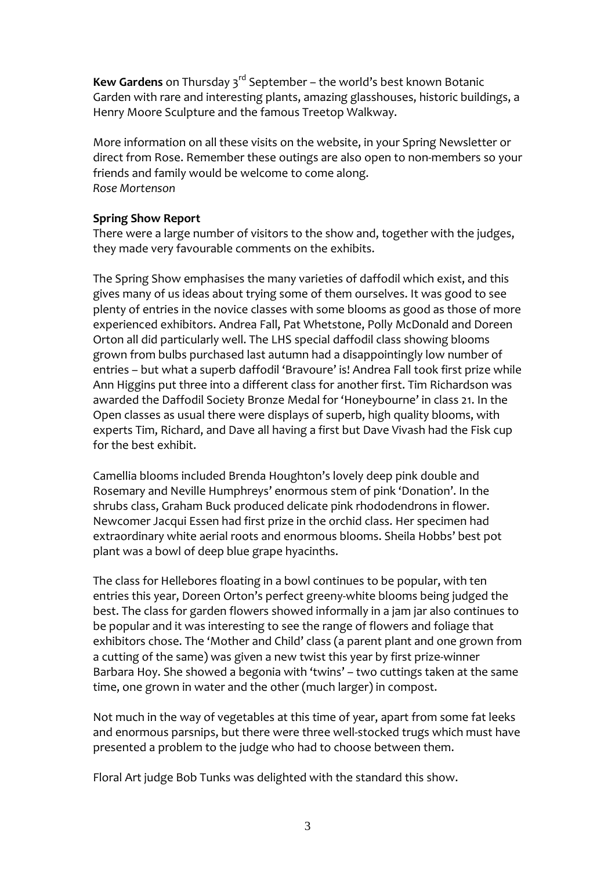**Kew Gardens** on Thursday 3<sup>rd</sup> September – the world's best known Botanic Garden with rare and interesting plants, amazing glasshouses, historic buildings, a Henry Moore Sculpture and the famous Treetop Walkway.

More information on all these visits on the website, in your Spring Newsletter or direct from Rose. Remember these outings are also open to non-members so your friends and family would be welcome to come along. *Rose Mortenson*

### **Spring Show Report**

There were a large number of visitors to the show and, together with the judges, they made very favourable comments on the exhibits.

The Spring Show emphasises the many varieties of daffodil which exist, and this gives many of us ideas about trying some of them ourselves. It was good to see plenty of entries in the novice classes with some blooms as good as those of more experienced exhibitors. Andrea Fall, Pat Whetstone, Polly McDonald and Doreen Orton all did particularly well. The LHS special daffodil class showing blooms grown from bulbs purchased last autumn had a disappointingly low number of entries – but what a superb daffodil 'Bravoure' is! Andrea Fall took first prize while Ann Higgins put three into a different class for another first. Tim Richardson was awarded the Daffodil Society Bronze Medal for 'Honeybourne' in class 21. In the Open classes as usual there were displays of superb, high quality blooms, with experts Tim, Richard, and Dave all having a first but Dave Vivash had the Fisk cup for the best exhibit.

Camellia blooms included Brenda Houghton's lovely deep pink double and Rosemary and Neville Humphreys' enormous stem of pink 'Donation'. In the shrubs class, Graham Buck produced delicate pink rhododendrons in flower. Newcomer Jacqui Essen had first prize in the orchid class. Her specimen had extraordinary white aerial roots and enormous blooms. Sheila Hobbs' best pot plant was a bowl of deep blue grape hyacinths.

The class for Hellebores floating in a bowl continues to be popular, with ten entries this year, Doreen Orton's perfect greeny-white blooms being judged the best. The class for garden flowers showed informally in a jam jar also continues to be popular and it was interesting to see the range of flowers and foliage that exhibitors chose. The 'Mother and Child' class (a parent plant and one grown from a cutting of the same) was given a new twist this year by first prize-winner Barbara Hoy. She showed a begonia with 'twins' – two cuttings taken at the same time, one grown in water and the other (much larger) in compost.

Not much in the way of vegetables at this time of year, apart from some fat leeks and enormous parsnips, but there were three well-stocked trugs which must have presented a problem to the judge who had to choose between them.

Floral Art judge Bob Tunks was delighted with the standard this show.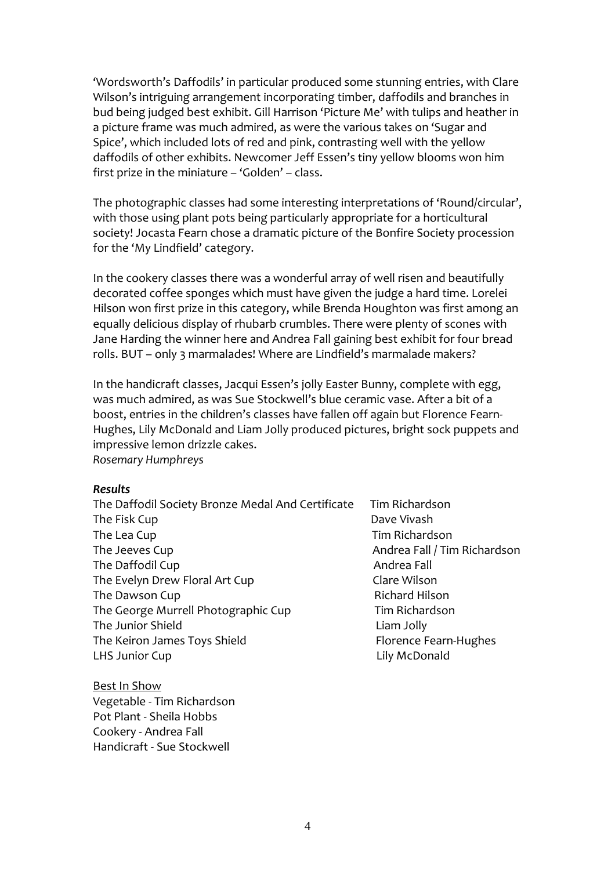'Wordsworth's Daffodils' in particular produced some stunning entries, with Clare Wilson's intriguing arrangement incorporating timber, daffodils and branches in bud being judged best exhibit. Gill Harrison 'Picture Me' with tulips and heather in a picture frame was much admired, as were the various takes on 'Sugar and Spice', which included lots of red and pink, contrasting well with the yellow daffodils of other exhibits. Newcomer Jeff Essen's tiny yellow blooms won him first prize in the miniature – 'Golden' – class.

The photographic classes had some interesting interpretations of 'Round/circular', with those using plant pots being particularly appropriate for a horticultural society! Jocasta Fearn chose a dramatic picture of the Bonfire Society procession for the 'My Lindfield' category.

In the cookery classes there was a wonderful array of well risen and beautifully decorated coffee sponges which must have given the judge a hard time. Lorelei Hilson won first prize in this category, while Brenda Houghton was first among an equally delicious display of rhubarb crumbles. There were plenty of scones with Jane Harding the winner here and Andrea Fall gaining best exhibit for four bread rolls. BUT – only 3 marmalades! Where are Lindfield's marmalade makers?

In the handicraft classes, Jacqui Essen's jolly Easter Bunny, complete with egg, was much admired, as was Sue Stockwell's blue ceramic vase. After a bit of a boost, entries in the children's classes have fallen off again but Florence Fearn-Hughes, Lily McDonald and Liam Jolly produced pictures, bright sock puppets and impressive lemon drizzle cakes. *Rosemary Humphreys*

#### *Results*

- The Daffodil Society Bronze Medal And Certificate Tim Richardson The Fisk Cup **Dave Vivash** The Lea Cup The Lea Cup Tim Richardson The Jeeves Cup **Andrea Fall / Tim Richardson** The Daffodil Cup **Andrea Fall** The Evelyn Drew Floral Art Cup Clare Wilson The Dawson Cup **Richard Hilson** Richard Hilson The George Murrell Photographic Cup Tim Richardson The Junior Shield **Liam Jolly** The Keiron James Toys Shield Florence Fearn-Hughes LHS Junior Cup Lily McDonald
- 

Best In Show Vegetable - Tim Richardson Pot Plant - Sheila Hobbs Cookery - Andrea Fall Handicraft - Sue Stockwell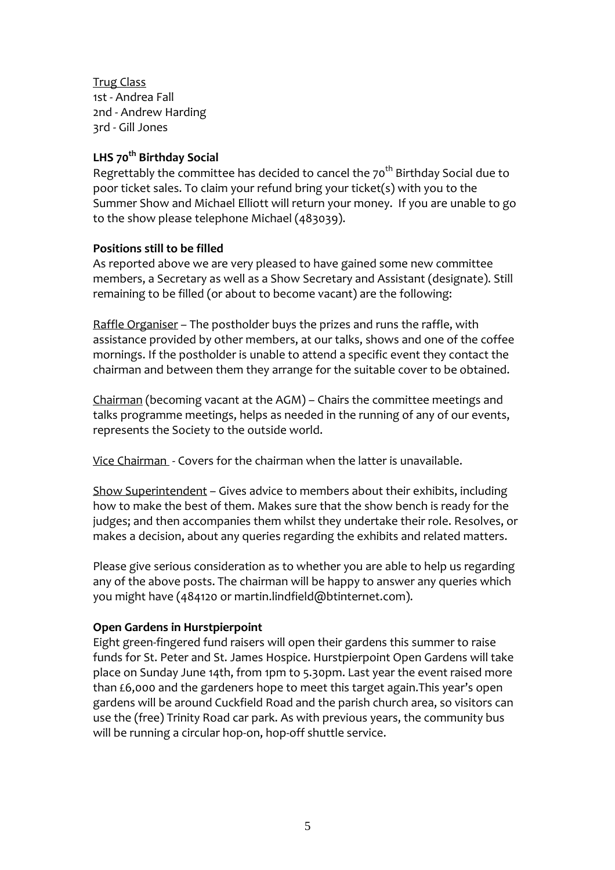Trug Class 1st - Andrea Fall 2nd - Andrew Harding 3rd - Gill Jones

## **LHS 70th Birthday Social**

Regrettably the committee has decided to cancel the  $70<sup>th</sup>$  Birthday Social due to poor ticket sales. To claim your refund bring your ticket(s) with you to the Summer Show and Michael Elliott will return your money. If you are unable to go to the show please telephone Michael (483039).

## **Positions still to be filled**

As reported above we are very pleased to have gained some new committee members, a Secretary as well as a Show Secretary and Assistant (designate). Still remaining to be filled (or about to become vacant) are the following:

Raffle Organiser – The postholder buys the prizes and runs the raffle, with assistance provided by other members, at our talks, shows and one of the coffee mornings. If the postholder is unable to attend a specific event they contact the chairman and between them they arrange for the suitable cover to be obtained.

Chairman (becoming vacant at the AGM) – Chairs the committee meetings and talks programme meetings, helps as needed in the running of any of our events, represents the Society to the outside world.

Vice Chairman - Covers for the chairman when the latter is unavailable.

Show Superintendent – Gives advice to members about their exhibits, including how to make the best of them. Makes sure that the show bench is ready for the judges; and then accompanies them whilst they undertake their role. Resolves, or makes a decision, about any queries regarding the exhibits and related matters.

Please give serious consideration as to whether you are able to help us regarding any of the above posts. The chairman will be happy to answer any queries which you might have (484120 or martin.lindfield@btinternet.com).

## **Open Gardens in Hurstpierpoint**

Eight green-fingered fund raisers will open their gardens this summer to raise funds for St. Peter and St. James Hospice. Hurstpierpoint Open Gardens will take place on Sunday June 14th, from 1pm to 5.30pm. Last year the event raised more than £6,000 and the gardeners hope to meet this target again.This year's open gardens will be around Cuckfield Road and the parish church area, so visitors can use the (free) Trinity Road car park. As with previous years, the community bus will be running a circular hop-on, hop-off shuttle service.